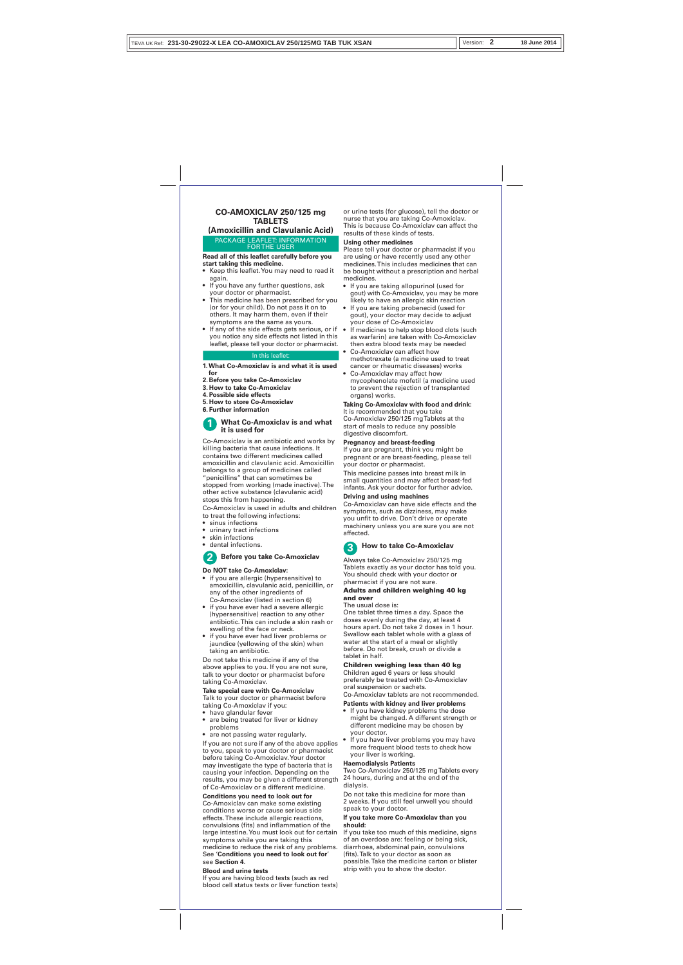#### PACKAGE LEAFLET: INFORMATION FOR THE USER

### **CO-AMOXICLAV 250/125 mg TABLETS**

**(Amoxicillin and Clavulanic Acid)**

**Read all of this leaflet carefully before you** 

- **start taking this medicine.** • Keep this leaflet. You may need to read it again.
- If you have any further questions, ask your doctor or pharmacist.
- This medicine has been prescribed for you (or for your child). Do not pass it on to others. It may harm them, even if their symptoms are the same as yours.
- If any of the side effects gets serious, or if you notice any side effects not listed in this leaflet, please tell your doctor or pharmacist.

- **1. What Co-Amoxiclav is and what it is used**
- **for 2. Before you take Co-Amoxiclav**
- **3. How to take Co-Amoxiclav**
- **4. Possible side effects**
- **5. How to store Co-Amoxiclav**
- **6. Further information**

Co-Amoxiclav is an antibiotic and works by killing bacteria that cause infections. It contains two different medicines called amoxicillin and clavulanic acid. Amoxicillin belongs to a group of medicines called "penicillins" that can sometimes be stopped from working (made inactive). The other active substance (clavulanic acid)

taking Co-Amoxiclav if you: • have glandular fever

stops this from happening. Co-Amoxiclav is used in adults and children

- to treat the following infections:
- sinus infections
- urinary tract infections • skin infections
- dental infections.
- 

### **Do NOT take Co-Amoxiclav:**

- if you are allergic (hypersensitive) to amoxicillin, clavulanic acid, penicillin, or any of the other ingredients of Co-Amoxiclav (listed in section 6)
- if you have ever had a severe allergic (hypersensitive) reaction to any other antibiotic. This can include a skin rash or swelling of the face or neck.
- if you have ever had liver problems or jaundice (yellowing of the skin) when taking an antibiotic.

#### **What Co-Amoxiclav is and what it is used for 1**

Do not take this medicine if any of the above applies to you. If you are not sure, talk to your doctor or pharmacist before taking Co-Amoxiclav.

#### **Take special care with Co-Amoxiclav**  Talk to your doctor or pharmacist before

• are being treated for liver or kidney problems

If you are not sure if any of the above applies to you, speak to your doctor or pharmacist before taking Co-Amoxiclav. Your doctor may investigate the type of bacteria that is causing your infection. Depending on the results, you may be given a different strength of Co-Amoxiclav or a different medicine.

### **Conditions you need to look out for**

Co-Amoxiclav can make some existing conditions worse or cause serious side effects. These include allergic reactions, convulsions (fits) and inflammation of the large intestine. You must look out for certain symptoms while you are taking this medicine to reduce the risk of any problems. See '**Conditions you need to look out for**' see **Section 4**.

### **Blood and urine tests**

If you are having blood tests (such as red blood cell status tests or liver function tests)

#### In this leaflet:

If you take too much of this medicine, signs of an overdose are: feeling or being sick, diarrhoea, abdominal pain, convulsions (fits). Talk to your doctor as soon as possible. Take the medicine carton or blister strip with you to show the doctor.

or urine tests (for glucose), tell the doctor or nurse that you are taking Co-Amoxiclav. This is because Co-Amoxiclav can affect the results of these kinds of tests.

## **Using other medicines**

Please tell your doctor or pharmacist if you are using or have recently used any other medicines. This includes medicines that can be bought without a prescription and herbal medicines.

- If you are taking allopurinol (used for gout) with Co-Amoxiclav, you may be more likely to have an allergic skin reaction
- If you are taking probenecid (used for gout), your doctor may decide to adjust your dose of Co-Amoxiclav
- If medicines to help stop blood clots (such as warfarin) are taken with Co-Amoxiclav then extra blood tests may be needed
- Co-Amoxiclav can affect how methotrexate (a medicine used to treat
- cancer or rheumatic diseases) works Co-Amoxiclav may affect how
- mycophenolate mofetil (a medicine used to prevent the rejection of transplanted organs) works.

- If you have kidney problems the dose
- might be changed. A different strength or different medicine may be chosen by
- 
- are not passing water regularly.

### **Taking Co-Amoxiclav with food and drink:** It is recommended that you take Co-Amoxiclav 250/125 mg Tablets at the start of meals to reduce any possible digestive discomfort.

### **Pregnancy and breast-feeding**

If you are pregnant, think you might be pregnant or are breast-feeding, please tell your doctor or pharmacist.

This medicine passes into breast milk in small quantities and may affect breast-fed infants. Ask your doctor for further advice. **Driving and using machines** 

## Co-Amoxiclav can have side effects and the symptoms, such as dizziness, may make

you unfit to drive. Don't drive or operate machinery unless you are sure you are not affected.

Always take Co-Amoxiclav 250/125 mg Tablets exactly as your doctor has told you. You should check with your doctor or pharmacist if you are not sure.

### Adults and children weighing 40 kg and over The usual dose is:

One tablet three times a day. Space the doses evenly during the day, at least 4 hours apart. Do not take 2 doses in 1 hour. Swallow each tablet whole with a glass of water at the start of a meal or slightly before. Do not break, crush or divide a tablet in half.

Children weighing less than 40 kg Children aged 6 years or less should preferably be treated with Co-Amoxiclav oral suspension or sachets. Co-Amoxiclav tablets are not recommended.

### **Patients with kidney and liver problems**

- your doctor.
- If you have liver problems you may have more frequent blood tests to check how your liver is working.

### **Haemodialysis Patients**

Two Co-Amoxiclav 250/125 mg Tablets every 24 hours, during and at the end of the dialysis.

Do not take this medicine for more than 2 weeks. If you still feel unwell you should speak to your doctor.

### **If you take more Co-Amoxiclav than you should:**

## **Before you take Co-Amoxiclav 2**



| TEVA UK Ref: 231-30-29022-X LEA CO-AMOXICLAV 250/125MG TAB TUK XSAN | II Version: |  | 18 June 2014 |
|---------------------------------------------------------------------|-------------|--|--------------|
|---------------------------------------------------------------------|-------------|--|--------------|